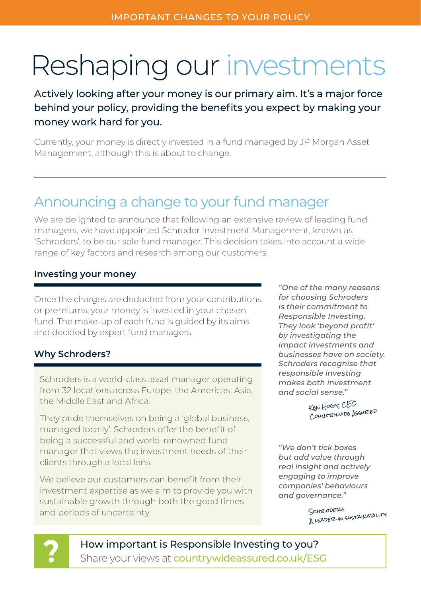# Reshaping our investments

Actively looking after your money is our primary aim. It's a major force behind your policy, providing the benefits you expect by making your money work hard for you.

Currently, your money is directly invested in a fund managed by JP Morgan Asset Management, although this is about to change.

# Announcing a change to your fund manager

We are delighted to announce that following an extensive review of leading fund managers, we have appointed Schroder Investment Management, known as 'Schroders', to be our sole fund manager. This decision takes into account a wide range of key factors and research among our customers.

# **Investing your money**

Once the charges are deducted from your contributions or premiums, your money is invested in your chosen fund. The make-up of each fund is quided by its aims and decided by expert fund managers.

# **Why Schroders?**

Schroders is a world-class asset manager operating from 32 locations across Europe, the Americas, Asia, the Middle East and Africa.

They pride themselves on being a 'global business, managed locally'. Schroders offer the benefit of being a successful and world-renowned fund manager that views the investment needs of their clients through a local lens.

We believe our customers can benefit from their investment expertise as we aim to provide you with sustainable growth through both the good times and periods of uncertainty.

*"One of the many reasons for choosing Schroders is their commitment to Responsible Investing. They look 'beyond profit' by investigating the impact investments and businesses have on society. Schroders recognise that responsible investing makes both investment and social sense."*

> KEN HOGG, CEO Country WIDE ASSURED

*"We don't tick boxes but add value through real insight and actively engaging to improve companies' behaviours and governance."*

> SCHRODERS A leader in sustainability



How important is Responsible Investing to you? Share your views at countrywideassured.co.uk/ESG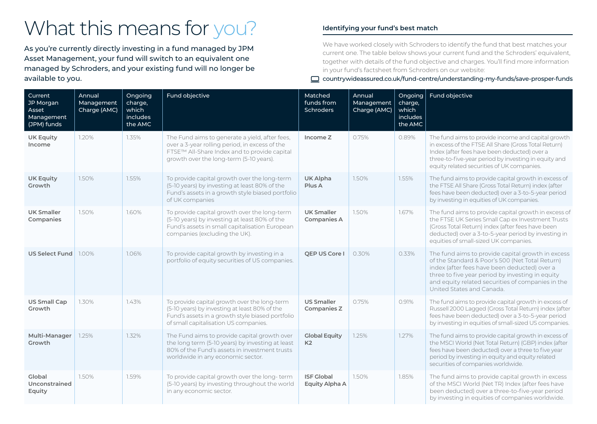# What this means for you?

As you're currently directly investing in a fund managed by JPM Asset Management, your fund will switch to an equivalent one managed by Schroders, and your existing fund will no longer be available to you.

# **Identifying your fund's best match**

We have worked closely with Schroders to identify the fund that best matches your current one. The table below shows your current fund and the Schroders' equivalent, together with details of the fund objective and charges. You'll find more information in your fund's factsheet from Schroders on our website:

# countrywideassured.co.uk/fund-centre/understanding-my-funds/save-prosper-funds

| Current<br>JP Morgan<br>Asset<br>Management<br>(JPM) funds | Annual<br>Management<br>Charge (AMC) | Ongoing<br>charge,<br>which<br><i>includes</i><br>the AMC | Fund objective                                                                                                                                                                              | Matched<br>funds from<br><b>Schroders</b> | Annual<br>Management<br>Charge (AMC) | Ongoing<br>charge,<br>which<br>includes<br>the AMC | Fund objective                                                                                                                                                                                                                                                                             |
|------------------------------------------------------------|--------------------------------------|-----------------------------------------------------------|---------------------------------------------------------------------------------------------------------------------------------------------------------------------------------------------|-------------------------------------------|--------------------------------------|----------------------------------------------------|--------------------------------------------------------------------------------------------------------------------------------------------------------------------------------------------------------------------------------------------------------------------------------------------|
| <b>UK Equity</b><br>Income                                 | 1.20%                                | 1.35%                                                     | The Fund aims to generate a yield, after fees,<br>over a 3-year rolling period, in excess of the<br>FTSE™ All-Share Index and to provide capital<br>growth over the long-term (5-10 years). | Income Z                                  | 0.75%                                | 0.89%                                              | The fund aims to provide income and capital growth<br>in excess of the FTSE All Share (Gross Total Return)<br>Index (after fees have been deducted) over a<br>three-to-five-year period by investing in equity and<br>equity related securities of UK companies.                           |
| <b>UK Equity</b><br>Growth                                 | 1.50%                                | 1.55%                                                     | To provide capital growth over the long-term<br>(5-10 years) by investing at least 80% of the<br>Fund's assets in a growth style biased portfolio<br>of UK companies                        | UK Alpha<br>Plus A                        | 1.50%                                | 1.55%                                              | The fund aims to provide capital growth in excess of<br>the FTSE All Share (Gross Total Return) index (after<br>fees have been deducted) over a 3-to-5-year period<br>by investing in equities of UK companies.                                                                            |
| <b>UK Smaller</b><br>Companies                             | 1.50%                                | 1.60%                                                     | To provide capital growth over the long-term<br>(5-10 years) by investing at least 80% of the<br>Fund's assets in small capitalisation European<br>companies (excluding the UK).            | <b>UK Smaller</b><br><b>Companies A</b>   | 1.50%                                | 1.67%                                              | The fund aims to provide capital growth in excess of<br>the FTSE UK Series Small Cap ex Investment Trusts<br>(Gross Total Return) index (after fees have been<br>deducted) over a 3-to-5-year period by investing in<br>equities of small-sized UK companies.                              |
| <b>US Select Fund</b>                                      | 1.00%                                | 1.06%                                                     | To provide capital growth by investing in a<br>portfolio of equity securities of US companies.                                                                                              | OEP US Core I                             | 0.30%                                | $0.33\%$                                           | The fund aims to provide capital growth in excess<br>of the Standard & Poor's 500 (Net Total Return)<br>index (after fees have been deducted) over a<br>three to five year period by investing in equity<br>and equity related securities of companies in the<br>United States and Canada. |
| <b>US Small Cap</b><br>Growth                              | 1.30%                                | 1.43%                                                     | To provide capital growth over the long-term<br>(5-10 years) by investing at least 80% of the<br>Fund's assets in a growth style biased portfolio<br>of small capitalisation US companies.  | <b>US Smaller</b><br>Companies Z          | 0.75%                                | 0.91%                                              | The fund aims to provide capital growth in excess of<br>Russell 2000 Lagged (Gross Total Return) index (after<br>fees have been deducted) over a 3-to-5-year period<br>by investing in equities of small-sized US companies.                                                               |
| Multi-Manager<br>Growth                                    | 1.25%                                | 1.32%                                                     | The Fund aims to provide capital growth over<br>the long term (5-10 years) by investing at least<br>80% of the Fund's assets in investment trusts<br>worldwide in any economic sector.      | <b>Global Equity</b><br>K <sub>2</sub>    | 1.25%                                | 1.27%                                              | The fund aims to provide capital growth in excess of<br>the MSCI World (Net Total Return) (GBP) index (after<br>fees have been deducted) over a three to five year<br>period by investing in equity and equity related<br>securities of companies worldwide.                               |
| Global<br>Unconstrained<br>Equity                          | 1.50%                                | 1.59%                                                     | To provide capital growth over the long-term<br>(5-10 years) by investing throughout the world<br>in any economic sector.                                                                   | <b>ISF Global</b><br>Equity Alpha A       | 1.50%                                | 1.85%                                              | The fund aims to provide capital growth in excess<br>of the MSCI World (Net TR) Index (after fees have<br>been deducted) over a three-to-five-year period<br>by investing in equities of companies worldwide.                                                                              |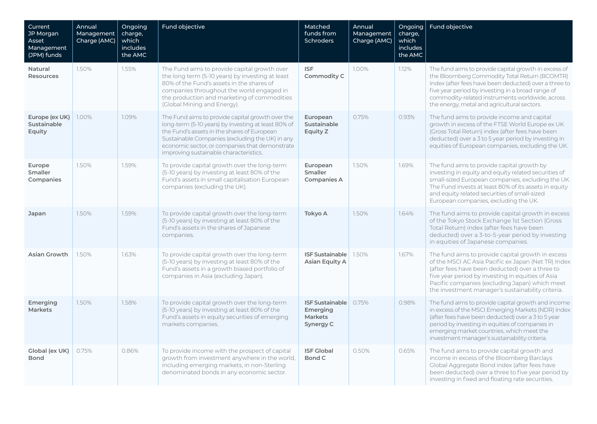| Current<br>JP Morgan<br>Asset<br>Management<br>(JPM) funds | Annual<br>Management<br>Charge (AMC) | Ongoing<br>charge,<br>which<br><i>includes</i><br>the AMC | Fund objective                                                                                                                                                                                                                                                                                        | Matched<br>funds from<br><b>Schroders</b>                         | Annual<br>Management<br>Charge (AMC) | Ongoing<br>charge,<br>which<br><i>includes</i><br>the AMC | Fund objective                                                                                                                                                                                                                                                                                                          |
|------------------------------------------------------------|--------------------------------------|-----------------------------------------------------------|-------------------------------------------------------------------------------------------------------------------------------------------------------------------------------------------------------------------------------------------------------------------------------------------------------|-------------------------------------------------------------------|--------------------------------------|-----------------------------------------------------------|-------------------------------------------------------------------------------------------------------------------------------------------------------------------------------------------------------------------------------------------------------------------------------------------------------------------------|
| Natural<br><b>Resources</b>                                | 1.50%                                | 1.55%                                                     | The Fund aims to provide capital growth over<br>the long term (5-10 years) by investing at least<br>80% of the Fund's assets in the shares of<br>companies throughout the world engaged in<br>the production and marketing of commodities<br>(Global Mining and Energy).                              | <b>ISF</b><br>Commodity C                                         | 1.00%                                | 1.12%                                                     | The fund aims to provide capital growth in excess of<br>the Bloomberg Commodity Total Return (BCOMTR)<br>Index (after fees have been deducted) over a three to<br>five year period by investing in a broad range of<br>commodity-related instruments worldwide, across<br>the energy, metal and agricultural sectors.   |
| Europe (ex UK)<br>Sustainable<br>Equity                    | 1.00%                                | 1.09%                                                     | The Fund aims to provide capital growth over the<br>long-term (5-10 years) by investing at least 80% of<br>the Fund's assets in the shares of European<br>Sustainable Companies (excluding the UK) in any<br>economic sector, or companies that demonstrate<br>improving sustainable characteristics. | European<br>Sustainable<br>Equity Z                               | 0.75%                                | 0.93%                                                     | The fund aims to provide income and capital<br>growth in excess of the FTSE World Europe ex UK<br>(Gross Total Return) index (after fees have been<br>deducted) over a 3 to 5 year period by investing in<br>equities of European companies, excluding the UK.                                                          |
| Europe<br><b>Smaller</b><br>Companies                      | 1.50%                                | 1.59%                                                     | To provide capital growth over the long-term<br>(5-10 years) by investing at least 80% of the<br>Fund's assets in small capitalisation European<br>companies (excluding the UK).                                                                                                                      | European<br><b>Smaller</b><br><b>Companies A</b>                  | 1.50%                                | 1.69%                                                     | The fund aims to provide capital growth by<br>investing in equity and equity related securities of<br>small-sized European companies, excluding the UK.<br>The Fund invests at least 80% of its assets in equity<br>and equity related securities of small-sized<br>European companies, excluding the UK.               |
| Japan                                                      | 1.50%                                | 1.59%                                                     | To provide capital growth over the long-term<br>(5-10 years) by investing at least 80% of the<br>Fund's assets in the shares of Japanese<br>companies.                                                                                                                                                | Tokyo A                                                           | 1.50%                                | 1.64%                                                     | The fund aims to provide capital growth in excess<br>of the Tokyo Stock Exchange 1st Section (Gross<br>Total Return) index (after fees have been<br>deducted) over a 3-to-5-year period by investing<br>in equities of Japanese companies.                                                                              |
| <b>Asian Growth</b>                                        | 1.50%                                | 1.63%                                                     | To provide capital growth over the long-term<br>(5-10 years) by investing at least 80% of the<br>Fund's assets in a growth biased portfolio of<br>companies in Asia (excluding Japan).                                                                                                                | <b>ISF Sustainable</b><br>Asian Equity A                          | 1.50%                                | 1.67%                                                     | The fund aims to provide capital growth in excess<br>of the MSCI AC Asia Pacific ex Japan (Net TR) Index<br>(after fees have been deducted) over a three to<br>five year period by investing in equities of Asia<br>Pacific companies (excluding Japan) which meet<br>the investment manager's sustainability criteria. |
| Emerging<br><b>Markets</b>                                 | 1.50%                                | 1.58%                                                     | To provide capital growth over the long-term<br>(5-10 years) by investing at least 80% of the<br>Fund's assets in equity securities of emerging<br>markets companies.                                                                                                                                 | <b>ISF Sustainable</b><br>Emerging<br><b>Markets</b><br>Synergy C | 0.75%                                | 0.98%                                                     | The fund aims to provide capital growth and income<br>in excess of the MSCI Emerging Markets (NDR) Index<br>(after fees have been deducted) over a 3 to 5 year<br>period by investing in equities of companies in<br>emerging market countries, which meet the<br>investment manager's sustainability criteria.         |
| Global (ex UK)<br><b>Bond</b>                              | 0.75%                                | 0.86%                                                     | To provide income with the prospect of capital<br>growth from investment anywhere in the world,<br>including emerging markets, in non-Sterling<br>denominated bonds in any economic sector.                                                                                                           | <b>ISF Global</b><br>Bond C                                       | 0.50%                                | 0.65%                                                     | The fund aims to provide capital growth and<br>income in excess of the Bloomberg Barclays<br>Global Aggregate Bond index (after fees have<br>been deducted) over a three to five year period by<br>investing in fixed and floating rate securities.                                                                     |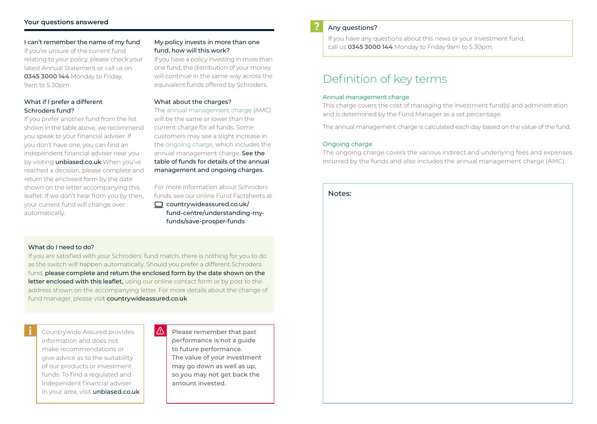### **Your questions answered**

I can't remember the name of my fund If you're unsure of the current fund relating to your policy, please check your latest Annual Statement or call us on **0345 3000 144** Monday to Friday, 9am to 5.30pm.

### What if I prefer a different Schroders fund?

If you prefer another fund from the list shown in the table above, we recommend you speak to your financial adviser. If you don't have one, you can find an independent financial adviser near you by visiting **unbiased.co.uk** When you've reached a decision, please complete and return the enclosed form by the date shown on the letter accompanying this leaflet. If we don't hear from you by then, your current fund will change over automatically.

# My policy invests in more than one fund, how will this work?

If you have a policy investing in more than one fund, the distribution of your money will continue in the same way across the equivalent funds offered by Schroders.

#### What about the charges?

The annual management charge (AMC) will be the same or lower than the current charge for all funds. Some customers may see a slight increase in the ongoing charge, which includes the annual management charge. See the table of funds for details of the annual management and ongoing charges.

For more information about Schroders funds, see our online Fund Factsheets at  $\Box$  countrywideassured.co.uk/ fund-centre/understanding-myfunds/save-prosper-funds

## What do I need to do?

If you are satisfied with your Schroders' fund match, there is nothing for you to do as the switch will happen automatically. Should you prefer a different Schroders fund, please complete and return the enclosed form by the date shown on the letter enclosed with this leaflet, using our online contact form or by post to the address shown on the accompanying letter. For more details about the change of fund manager, please visit countrywideassured.co.uk

Countrywide Assured provides information and does not make recommendations or give advice as to the suitability of our products or investment funds. To find a regulated and independent financial adviser in your area, visit unbiased.co.uk  $\sqrt{N}$ Please remember that past performance is not a guide to future performance. The value of your investment may go down as well as up, so you may not get back the amount invested.

#### Any questions?

If you have any questions about this news or your investment fund, call us **0345 3000 144** Monday to Friday 9am to 5.30pm.

# Definition of key terms

#### Annual management charge

This charge covers the cost of managing the investment fund(s) and administration and is determined by the Fund Manager as a set percentage.

The annual management charge is calculated each day based on the value of the fund.

#### Ongoing charge

The ongoing charge covers the various indirect and underlying fees and expenses incurred by the funds and also includes the annual management charge (AMC).

#### Notes: